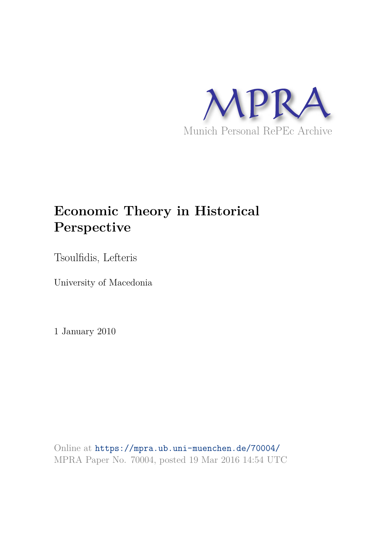

# **Economic Theory in Historical Perspective**

Tsoulfidis, Lefteris

University of Macedonia

1 January 2010

Online at https://mpra.ub.uni-muenchen.de/70004/ MPRA Paper No. 70004, posted 19 Mar 2016 14:54 UTC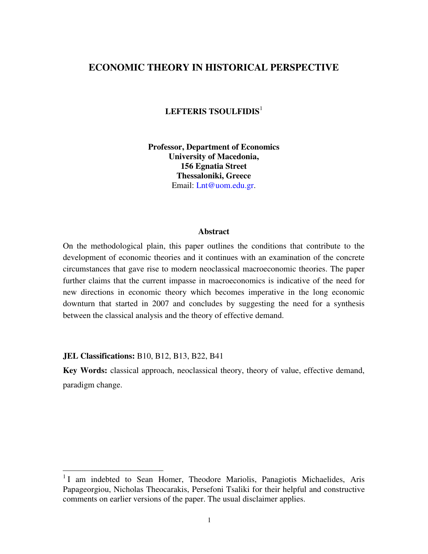## **ECONOMIC THEORY IN HISTORICAL PERSPECTIVE**

**LEFTERIS TSOULFIDIS**<sup>1</sup>

**Professor, Department of Economics University of Macedonia, 156 Egnatia Street Thessaloniki, Greece**  Email: [Lnt@uom.edu.gr.](mailto:Lnt@uom.gr)

#### **Abstract**

On the methodological plain, this paper outlines the conditions that contribute to the development of economic theories and it continues with an examination of the concrete circumstances that gave rise to modern neoclassical macroeconomic theories. The paper further claims that the current impasse in macroeconomics is indicative of the need for new directions in economic theory which becomes imperative in the long economic downturn that started in 2007 and concludes by suggesting the need for a synthesis between the classical analysis and the theory of effective demand.

**JEL Classifications:** B10, B12, B13, B22, B41

**Key Words:** classical approach, neoclassical theory, theory of value, effective demand, paradigm change.

<sup>&</sup>lt;sup>1</sup> I am indebted to Sean Homer, Theodore Mariolis, Panagiotis Michaelides, Aris Papageorgiou, Nicholas Theocarakis, Persefoni Tsaliki for their helpful and constructive comments on earlier versions of the paper. The usual disclaimer applies.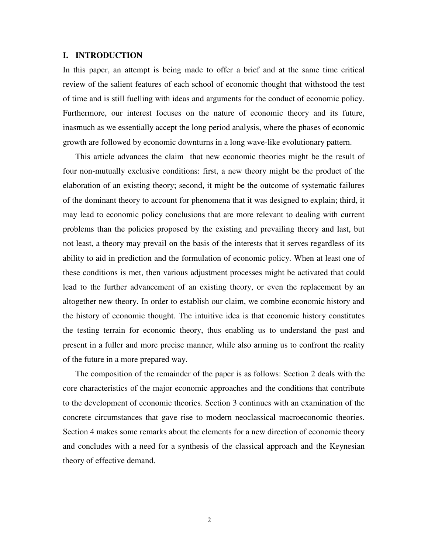#### **I. INTRODUCTION**

In this paper, an attempt is being made to offer a brief and at the same time critical review of the salient features of each school of economic thought that withstood the test of time and is still fuelling with ideas and arguments for the conduct of economic policy. Furthermore, our interest focuses on the nature of economic theory and its future, inasmuch as we essentially accept the long period analysis, where the phases of economic growth are followed by economic downturns in a long wave-like evolutionary pattern.

This article advances the claim that new economic theories might be the result of four non-mutually exclusive conditions: first, a new theory might be the product of the elaboration of an existing theory; second, it might be the outcome of systematic failures of the dominant theory to account for phenomena that it was designed to explain; third, it may lead to economic policy conclusions that are more relevant to dealing with current problems than the policies proposed by the existing and prevailing theory and last, but not least, a theory may prevail on the basis of the interests that it serves regardless of its ability to aid in prediction and the formulation of economic policy. When at least one of these conditions is met, then various adjustment processes might be activated that could lead to the further advancement of an existing theory, or even the replacement by an altogether new theory. In order to establish our claim, we combine economic history and the history of economic thought. The intuitive idea is that economic history constitutes the testing terrain for economic theory, thus enabling us to understand the past and present in a fuller and more precise manner, while also arming us to confront the reality of the future in a more prepared way.

The composition of the remainder of the paper is as follows: Section 2 deals with the core characteristics of the major economic approaches and the conditions that contribute to the development of economic theories. Section 3 continues with an examination of the concrete circumstances that gave rise to modern neoclassical macroeconomic theories. Section 4 makes some remarks about the elements for a new direction of economic theory and concludes with a need for a synthesis of the classical approach and the Keynesian theory of effective demand.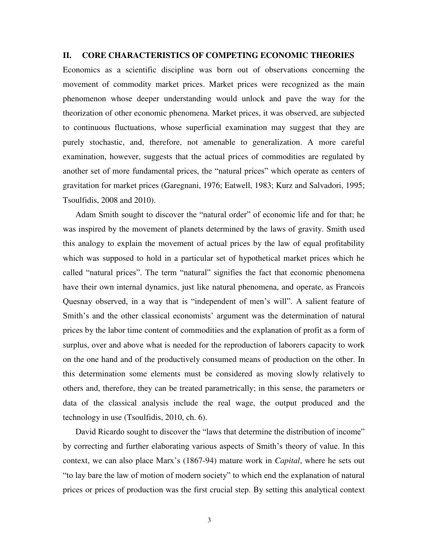#### **II. CORE CHARACTERISTICS OF COMPETING ECONOMIC THEORIES**

Economics as a scientific discipline was born out of observations concerning the movement of commodity market prices. Market prices were recognized as the main phenomenon whose deeper understanding would unlock and pave the way for the theorization of other economic phenomena. Market prices, it was observed, are subjected to continuous fluctuations, whose superficial examination may suggest that they are purely stochastic, and, therefore, not amenable to generalization. A more careful examination, however, suggests that the actual prices of commodities are regulated by another set of more fundamental prices, the "natural prices" which operate as centers of gravitation for market prices (Garegnani, 1976; Eatwell, 1983; Kurz and Salvadori, 1995; Tsoulfidis, 2008 and 2010).

Adam Smith sought to discover the "natural order" of economic life and for that; he was inspired by the movement of planets determined by the laws of gravity. Smith used this analogy to explain the movement of actual prices by the law of equal profitability which was supposed to hold in a particular set of hypothetical market prices which he called "natural prices". The term "natural" signifies the fact that economic phenomena have their own internal dynamics, just like natural phenomena, and operate, as Francois Quesnay observed, in a way that is "independent of men's will". A salient feature of Smith's and the other classical economists' argument was the determination of natural prices by the labor time content of commodities and the explanation of profit as a form of surplus, over and above what is needed for the reproduction of laborers capacity to work on the one hand and of the productively consumed means of production on the other. In this determination some elements must be considered as moving slowly relatively to others and, therefore, they can be treated parametrically; in this sense, the parameters or data of the classical analysis include the real wage, the output produced and the technology in use (Tsoulfidis, 2010, ch. 6).

David Ricardo sought to discover the "laws that determine the distribution of income" by correcting and further elaborating various aspects of Smith's theory of value. In this context, we can also place Marx's (1867-94) mature work in *Capital*, where he sets out "to lay bare the law of motion of modern society" to which end the explanation of natural prices or prices of production was the first crucial step. By setting this analytical context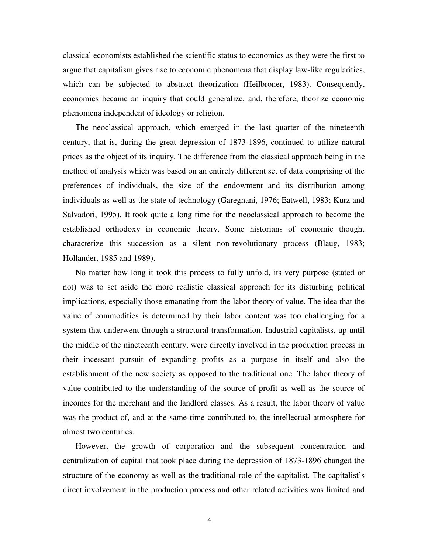classical economists established the scientific status to economics as they were the first to argue that capitalism gives rise to economic phenomena that display law-like regularities, which can be subjected to abstract theorization (Heilbroner, 1983). Consequently, economics became an inquiry that could generalize, and, therefore, theorize economic phenomena independent of ideology or religion.

The neoclassical approach, which emerged in the last quarter of the nineteenth century, that is, during the great depression of 1873-1896, continued to utilize natural prices as the object of its inquiry. The difference from the classical approach being in the method of analysis which was based on an entirely different set of data comprising of the preferences of individuals, the size of the endowment and its distribution among individuals as well as the state of technology (Garegnani, 1976; Eatwell, 1983; Kurz and Salvadori, 1995). It took quite a long time for the neoclassical approach to become the established orthodoxy in economic theory. Some historians of economic thought characterize this succession as a silent non-revolutionary process (Blaug, 1983; Hollander, 1985 and 1989).

No matter how long it took this process to fully unfold, its very purpose (stated or not) was to set aside the more realistic classical approach for its disturbing political implications, especially those emanating from the labor theory of value. The idea that the value of commodities is determined by their labor content was too challenging for a system that underwent through a structural transformation. Industrial capitalists, up until the middle of the nineteenth century, were directly involved in the production process in their incessant pursuit of expanding profits as a purpose in itself and also the establishment of the new society as opposed to the traditional one. The labor theory of value contributed to the understanding of the source of profit as well as the source of incomes for the merchant and the landlord classes. As a result, the labor theory of value was the product of, and at the same time contributed to, the intellectual atmosphere for almost two centuries.

However, the growth of corporation and the subsequent concentration and centralization of capital that took place during the depression of 1873-1896 changed the structure of the economy as well as the traditional role of the capitalist. The capitalist's direct involvement in the production process and other related activities was limited and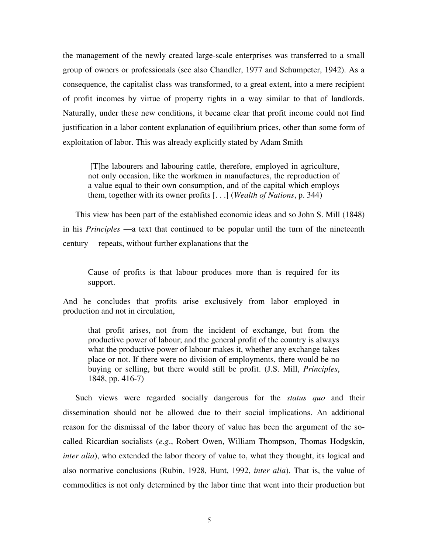the management of the newly created large-scale enterprises was transferred to a small group of owners or professionals (see also Chandler, 1977 and Schumpeter, 1942). As a consequence, the capitalist class was transformed, to a great extent, into a mere recipient of profit incomes by virtue of property rights in a way similar to that of landlords. Naturally, under these new conditions, it became clear that profit income could not find justification in a labor content explanation of equilibrium prices, other than some form of exploitation of labor. This was already explicitly stated by Adam Smith

 [T]he labourers and labouring cattle, therefore, employed in agriculture, not only occasion, like the workmen in manufactures, the reproduction of a value equal to their own consumption, and of the capital which employs them, together with its owner profits [. . .] (*Wealth of Nations*, p. 344)

This view has been part of the established economic ideas and so John S. Mill (1848) in his *Principles* —a text that continued to be popular until the turn of the nineteenth century— repeats, without further explanations that the

Cause of profits is that labour produces more than is required for its support.

And he concludes that profits arise exclusively from labor employed in production and not in circulation,

that profit arises, not from the incident of exchange, but from the productive power of labour; and the general profit of the country is always what the productive power of labour makes it, whether any exchange takes place or not. If there were no division of employments, there would be no buying or selling, but there would still be profit. (J.S. Mill, *Principles*, 1848, pp. 416-7)

Such views were regarded socially dangerous for the *status quo* and their dissemination should not be allowed due to their social implications. An additional reason for the dismissal of the labor theory of value has been the argument of the socalled Ricardian socialists (*e*.*g*., Robert Owen, William Thompson, Thomas Hodgskin, *inter alia*), who extended the labor theory of value to, what they thought, its logical and also normative conclusions (Rubin, 1928, Hunt, 1992, *inter alia*). That is, the value of commodities is not only determined by the labor time that went into their production but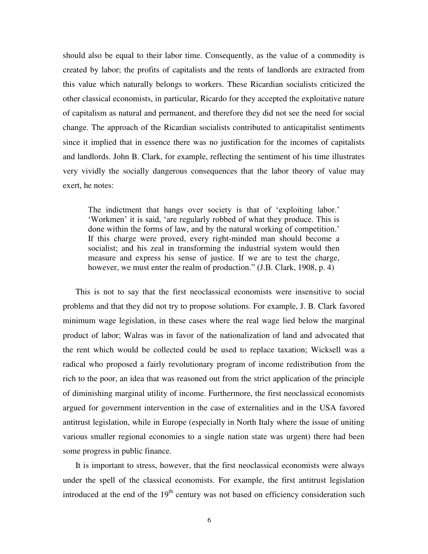should also be equal to their labor time. Consequently, as the value of a commodity is created by labor; the profits of capitalists and the rents of landlords are extracted from this value which naturally belongs to workers. These Ricardian socialists criticized the other classical economists, in particular, Ricardo for they accepted the exploitative nature of capitalism as natural and permanent, and therefore they did not see the need for social change. The approach of the Ricardian socialists contributed to anticapitalist sentiments since it implied that in essence there was no justification for the incomes of capitalists and landlords. John B. Clark, for example, reflecting the sentiment of his time illustrates very vividly the socially dangerous consequences that the labor theory of value may exert, he notes:

The indictment that hangs over society is that of 'exploiting labor.' 'Workmen' it is said, 'are regularly robbed of what they produce. This is done within the forms of law, and by the natural working of competition.' If this charge were proved, every right-minded man should become a socialist; and his zeal in transforming the industrial system would then measure and express his sense of justice. If we are to test the charge, however, we must enter the realm of production." (J.B. Clark, 1908, p. 4)

This is not to say that the first neoclassical economists were insensitive to social problems and that they did not try to propose solutions. For example, J. B. Clark favored minimum wage legislation, in these cases where the real wage lied below the marginal product of labor; Walras was in favor of the nationalization of land and advocated that the rent which would be collected could be used to replace taxation; Wicksell was a radical who proposed a fairly revolutionary program of income redistribution from the rich to the poor, an idea that was reasoned out from the strict application of the principle of diminishing marginal utility of income. Furthermore, the first neoclassical economists argued for government intervention in the case of externalities and in the USA favored antitrust legislation, while in Europe (especially in North Italy where the issue of uniting various smaller regional economies to a single nation state was urgent) there had been some progress in public finance.

It is important to stress, however, that the first neoclassical economists were always under the spell of the classical economists. For example, the first antitrust legislation introduced at the end of the  $19<sup>th</sup>$  century was not based on efficiency consideration such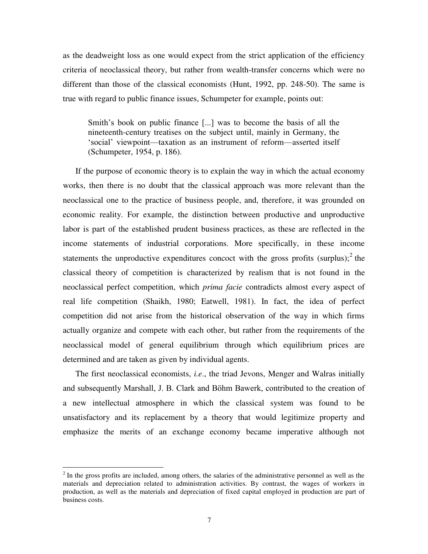as the deadweight loss as one would expect from the strict application of the efficiency criteria of neoclassical theory, but rather from wealth-transfer concerns which were no different than those of the classical economists (Hunt, 1992, pp. 248-50). The same is true with regard to public finance issues, Schumpeter for example, points out:

Smith's book on public finance [...] was to become the basis of all the nineteenth-century treatises on the subject until, mainly in Germany, the 'social' viewpoint—taxation as an instrument of reform—asserted itself (Schumpeter, 1954, p. 186).

If the purpose of economic theory is to explain the way in which the actual economy works, then there is no doubt that the classical approach was more relevant than the neoclassical one to the practice of business people, and, therefore, it was grounded on economic reality. For example, the distinction between productive and unproductive labor is part of the established prudent business practices, as these are reflected in the income statements of industrial corporations. More specifically, in these income statements the unproductive expenditures concoct with the gross profits  $(surplus);^2$  the classical theory of competition is characterized by realism that is not found in the neoclassical perfect competition, which *prima facie* contradicts almost every aspect of real life competition (Shaikh, 1980; Eatwell, 1981). In fact, the idea of perfect competition did not arise from the historical observation of the way in which firms actually organize and compete with each other, but rather from the requirements of the neoclassical model of general equilibrium through which equilibrium prices are determined and are taken as given by individual agents.

The first neoclassical economists, *i.e*., the triad Jevons, Menger and Walras initially and subsequently Marshall, J. B. Clark and Böhm Bawerk, contributed to the creation of a new intellectual atmosphere in which the classical system was found to be unsatisfactory and its replacement by a theory that would legitimize property and emphasize the merits of an exchange economy became imperative although not

 $2<sup>2</sup>$  In the gross profits are included, among others, the salaries of the administrative personnel as well as the materials and depreciation related to administration activities. By contrast, the wages of workers in production, as well as the materials and depreciation of fixed capital employed in production are part of business costs.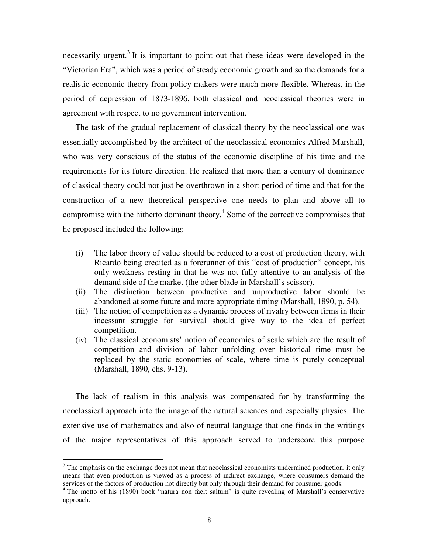necessarily urgent.<sup>3</sup> It is important to point out that these ideas were developed in the "Victorian Era", which was a period of steady economic growth and so the demands for a realistic economic theory from policy makers were much more flexible. Whereas, in the period of depression of 1873-1896, both classical and neoclassical theories were in agreement with respect to no government intervention.

The task of the gradual replacement of classical theory by the neoclassical one was essentially accomplished by the architect of the neoclassical economics Alfred Marshall, who was very conscious of the status of the economic discipline of his time and the requirements for its future direction. He realized that more than a century of dominance of classical theory could not just be overthrown in a short period of time and that for the construction of a new theoretical perspective one needs to plan and above all to compromise with the hitherto dominant theory.<sup>4</sup> Some of the corrective compromises that he proposed included the following:

- (i) The labor theory of value should be reduced to a cost of production theory, with Ricardo being credited as a forerunner of this "cost of production" concept, his only weakness resting in that he was not fully attentive to an analysis of the demand side of the market (the other blade in Marshall's scissor).
- (ii) The distinction between productive and unproductive labor should be abandoned at some future and more appropriate timing (Marshall, 1890, p. 54).
- (iii) The notion of competition as a dynamic process of rivalry between firms in their incessant struggle for survival should give way to the idea of perfect competition.
- (iv) The classical economists' notion of economies of scale which are the result of competition and division of labor unfolding over historical time must be replaced by the static economies of scale, where time is purely conceptual (Marshall, 1890, chs. 9-13).

The lack of realism in this analysis was compensated for by transforming the neoclassical approach into the image of the natural sciences and especially physics. The extensive use of mathematics and also of neutral language that one finds in the writings of the major representatives of this approach served to underscore this purpose

<sup>&</sup>lt;sup>3</sup> The emphasis on the exchange does not mean that neoclassical economists undermined production, it only means that even production is viewed as a process of indirect exchange, where consumers demand the services of the factors of production not directly but only through their demand for consumer goods.

<sup>&</sup>lt;sup>4</sup> The motto of his (1890) book "natura non facit saltum" is quite revealing of Marshall's conservative approach.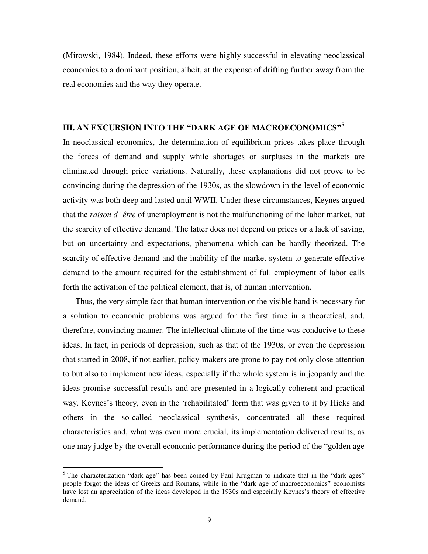(Mirowski, 1984). Indeed, these efforts were highly successful in elevating neoclassical economics to a dominant position, albeit, at the expense of drifting further away from the real economies and the way they operate.

### **III. AN EXCURSION INTO THE "DARK AGE OF MACROECONOMICS"<sup>5</sup>**

In neoclassical economics, the determination of equilibrium prices takes place through the forces of demand and supply while shortages or surpluses in the markets are eliminated through price variations. Naturally, these explanations did not prove to be convincing during the depression of the 1930s, as the slowdown in the level of economic activity was both deep and lasted until WWII. Under these circumstances, Keynes argued that the *raison d' être* of unemployment is not the malfunctioning of the labor market, but the scarcity of effective demand. The latter does not depend on prices or a lack of saving, but on uncertainty and expectations, phenomena which can be hardly theorized. The scarcity of effective demand and the inability of the market system to generate effective demand to the amount required for the establishment of full employment of labor calls forth the activation of the political element, that is, of human intervention.

Thus, the very simple fact that human intervention or the visible hand is necessary for a solution to economic problems was argued for the first time in a theoretical, and, therefore, convincing manner. The intellectual climate of the time was conducive to these ideas. In fact, in periods of depression, such as that of the 1930s, or even the depression that started in 2008, if not earlier, policy-makers are prone to pay not only close attention to but also to implement new ideas, especially if the whole system is in jeopardy and the ideas promise successful results and are presented in a logically coherent and practical way. Keynes's theory, even in the 'rehabilitated' form that was given to it by Hicks and others in the so-called neoclassical synthesis, concentrated all these required characteristics and, what was even more crucial, its implementation delivered results, as one may judge by the overall economic performance during the period of the "golden age

<sup>&</sup>lt;sup>5</sup> The characterization "dark age" has been coined by Paul Krugman to indicate that in the "dark ages" people forgot the ideas of Greeks and Romans, while in the "dark age of macroeconomics" economists have lost an appreciation of the ideas developed in the 1930s and especially Keynes's theory of effective demand.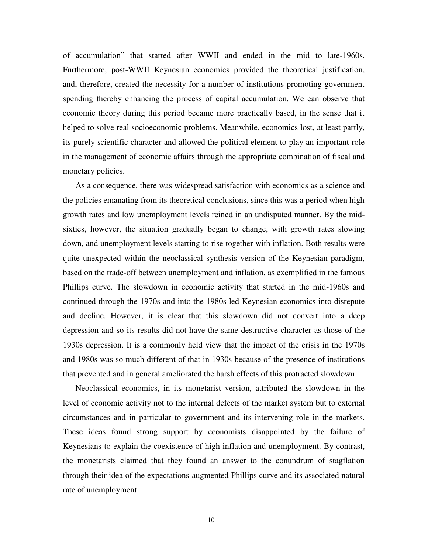of accumulation" that started after WWII and ended in the mid to late-1960s. Furthermore, post-WWII Keynesian economics provided the theoretical justification, and, therefore, created the necessity for a number of institutions promoting government spending thereby enhancing the process of capital accumulation. We can observe that economic theory during this period became more practically based, in the sense that it helped to solve real socioeconomic problems. Meanwhile, economics lost, at least partly, its purely scientific character and allowed the political element to play an important role in the management of economic affairs through the appropriate combination of fiscal and monetary policies.

As a consequence, there was widespread satisfaction with economics as a science and the policies emanating from its theoretical conclusions, since this was a period when high growth rates and low unemployment levels reined in an undisputed manner. By the midsixties, however, the situation gradually began to change, with growth rates slowing down, and unemployment levels starting to rise together with inflation. Both results were quite unexpected within the neoclassical synthesis version of the Keynesian paradigm, based on the trade-off between unemployment and inflation, as exemplified in the famous Phillips curve. The slowdown in economic activity that started in the mid-1960s and continued through the 1970s and into the 1980s led Keynesian economics into disrepute and decline. However, it is clear that this slowdown did not convert into a deep depression and so its results did not have the same destructive character as those of the 1930s depression. It is a commonly held view that the impact of the crisis in the 1970s and 1980s was so much different of that in 1930s because of the presence of institutions that prevented and in general ameliorated the harsh effects of this protracted slowdown.

Neoclassical economics, in its monetarist version, attributed the slowdown in the level of economic activity not to the internal defects of the market system but to external circumstances and in particular to government and its intervening role in the markets. These ideas found strong support by economists disappointed by the failure of Keynesians to explain the coexistence of high inflation and unemployment. By contrast, the monetarists claimed that they found an answer to the conundrum of stagflation through their idea of the expectations-augmented Phillips curve and its associated natural rate of unemployment.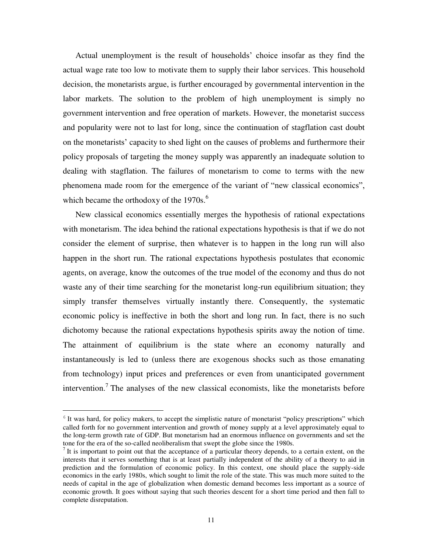Actual unemployment is the result of households' choice insofar as they find the actual wage rate too low to motivate them to supply their labor services. This household decision, the monetarists argue, is further encouraged by governmental intervention in the labor markets. The solution to the problem of high unemployment is simply no government intervention and free operation of markets. However, the monetarist success and popularity were not to last for long, since the continuation of stagflation cast doubt on the monetarists' capacity to shed light on the causes of problems and furthermore their policy proposals of targeting the money supply was apparently an inadequate solution to dealing with stagflation. The failures of monetarism to come to terms with the new phenomena made room for the emergence of the variant of "new classical economics", which became the orthodoxy of the  $1970s$ .<sup>6</sup>

New classical economics essentially merges the hypothesis of rational expectations with monetarism. The idea behind the rational expectations hypothesis is that if we do not consider the element of surprise, then whatever is to happen in the long run will also happen in the short run. The rational expectations hypothesis postulates that economic agents, on average, know the outcomes of the true model of the economy and thus do not waste any of their time searching for the monetarist long-run equilibrium situation; they simply transfer themselves virtually instantly there. Consequently, the systematic economic policy is ineffective in both the short and long run. In fact, there is no such dichotomy because the rational expectations hypothesis spirits away the notion of time. The attainment of equilibrium is the state where an economy naturally and instantaneously is led to (unless there are exogenous shocks such as those emanating from technology) input prices and preferences or even from unanticipated government intervention.<sup>7</sup> The analyses of the new classical economists, like the monetarists before

<sup>&</sup>lt;sup>6</sup> It was hard, for policy makers, to accept the simplistic nature of monetarist "policy prescriptions" which called forth for no government intervention and growth of money supply at a level approximately equal to the long-term growth rate of GDP. But monetarism had an enormous influence on governments and set the tone for the era of the so-called neoliberalism that swept the globe since the 1980s.

It is important to point out that the acceptance of a particular theory depends, to a certain extent, on the interests that it serves something that is at least partially independent of the ability of a theory to aid in prediction and the formulation of economic policy. In this context, one should place the supply-side economics in the early 1980s, which sought to limit the role of the state. This was much more suited to the needs of capital in the age of globalization when domestic demand becomes less important as a source of economic growth. It goes without saying that such theories descent for a short time period and then fall to complete disreputation.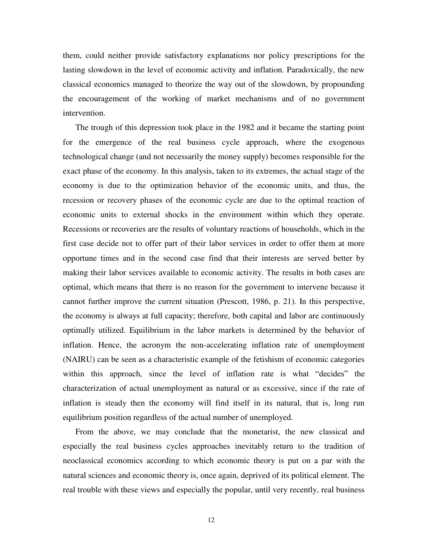them, could neither provide satisfactory explanations nor policy prescriptions for the lasting slowdown in the level of economic activity and inflation. Paradoxically, the new classical economics managed to theorize the way out of the slowdown, by propounding the encouragement of the working of market mechanisms and of no government intervention.

The trough of this depression took place in the 1982 and it became the starting point for the emergence of the real business cycle approach, where the exogenous technological change (and not necessarily the money supply) becomes responsible for the exact phase of the economy. In this analysis, taken to its extremes, the actual stage of the economy is due to the optimization behavior of the economic units, and thus, the recession or recovery phases of the economic cycle are due to the optimal reaction of economic units to external shocks in the environment within which they operate. Recessions or recoveries are the results of voluntary reactions of households, which in the first case decide not to offer part of their labor services in order to offer them at more opportune times and in the second case find that their interests are served better by making their labor services available to economic activity. The results in both cases are optimal, which means that there is no reason for the government to intervene because it cannot further improve the current situation (Prescott, 1986, p. 21). In this perspective, the economy is always at full capacity; therefore, both capital and labor are continuously optimally utilized. Equilibrium in the labor markets is determined by the behavior of inflation. Hence, the acronym the non-accelerating inflation rate of unemployment (NAIRU) can be seen as a characteristic example of the fetishism of economic categories within this approach, since the level of inflation rate is what "decides" the characterization of actual unemployment as natural or as excessive, since if the rate of inflation is steady then the economy will find itself in its natural, that is, long run equilibrium position regardless of the actual number of unemployed.

From the above, we may conclude that the monetarist, the new classical and especially the real business cycles approaches inevitably return to the tradition of neoclassical economics according to which economic theory is put on a par with the natural sciences and economic theory is, once again, deprived of its political element. The real trouble with these views and especially the popular, until very recently, real business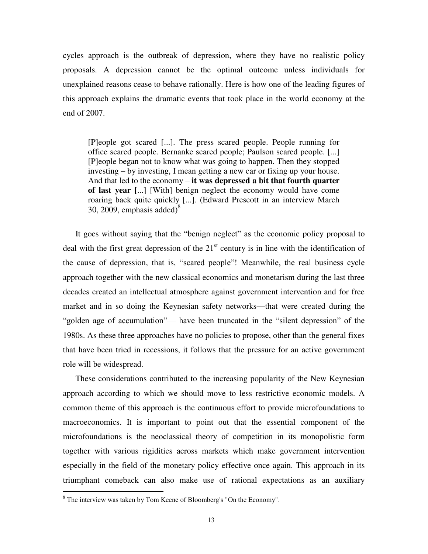cycles approach is the outbreak of depression, where they have no realistic policy proposals. A depression cannot be the optimal outcome unless individuals for unexplained reasons cease to behave rationally. Here is how one of the leading figures of this approach explains the dramatic events that took place in the world economy at the end of 2007.

[P]eople got scared [...]. The press scared people. People running for office scared people. Bernanke scared people; Paulson scared people. [...] [P]eople began not to know what was going to happen. Then they stopped investing – by investing, I mean getting a new car or fixing up your house. And that led to the economy – **it was depressed a bit that fourth quarter of last year [**...] [With] benign neglect the economy would have come roaring back quite quickly [...]. (Edward Prescott in an interview March 30, 2009, emphasis added) $8^{\circ}$ 

It goes without saying that the "benign neglect" as the economic policy proposal to deal with the first great depression of the  $21<sup>st</sup>$  century is in line with the identification of the cause of depression, that is, "scared people"! Meanwhile, the real business cycle approach together with the new classical economics and monetarism during the last three decades created an intellectual atmosphere against government intervention and for free market and in so doing the Keynesian safety networks—that were created during the "golden age of accumulation"— have been truncated in the "silent depression" of the 1980s. As these three approaches have no policies to propose, other than the general fixes that have been tried in recessions, it follows that the pressure for an active government role will be widespread.

These considerations contributed to the increasing popularity of the New Keynesian approach according to which we should move to less restrictive economic models. A common theme of this approach is the continuous effort to provide microfoundations to macroeconomics. It is important to point out that the essential component of the microfoundations is the neoclassical theory of competition in its monopolistic form together with various rigidities across markets which make government intervention especially in the field of the monetary policy effective once again. This approach in its triumphant comeback can also make use of rational expectations as an auxiliary

<sup>&</sup>lt;sup>8</sup> The interview was taken by Tom Keene of Bloomberg's "On the Economy".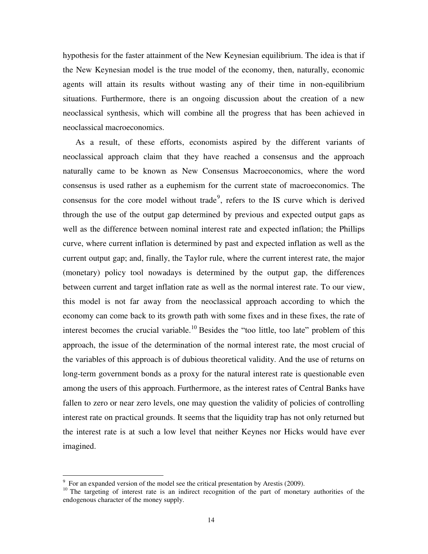hypothesis for the faster attainment of the New Keynesian equilibrium. The idea is that if the New Keynesian model is the true model of the economy, then, naturally, economic agents will attain its results without wasting any of their time in non-equilibrium situations. Furthermore, there is an ongoing discussion about the creation of a new neoclassical synthesis, which will combine all the progress that has been achieved in neoclassical macroeconomics.

As a result, of these efforts, economists aspired by the different variants of neoclassical approach claim that they have reached a consensus and the approach naturally came to be known as New Consensus Macroeconomics, where the word consensus is used rather as a euphemism for the current state of macroeconomics. The consensus for the core model without trade<sup>9</sup>, refers to the IS curve which is derived through the use of the output gap determined by previous and expected output gaps as well as the difference between nominal interest rate and expected inflation; the Phillips curve, where current inflation is determined by past and expected inflation as well as the current output gap; and, finally, the Taylor rule, where the current interest rate, the major (monetary) policy tool nowadays is determined by the output gap, the differences between current and target inflation rate as well as the normal interest rate. To our view, this model is not far away from the neoclassical approach according to which the economy can come back to its growth path with some fixes and in these fixes, the rate of interest becomes the crucial variable.<sup>10</sup> Besides the "too little, too late" problem of this approach, the issue of the determination of the normal interest rate, the most crucial of the variables of this approach is of dubious theoretical validity. And the use of returns on long-term government bonds as a proxy for the natural interest rate is questionable even among the users of this approach. Furthermore, as the interest rates of Central Banks have fallen to zero or near zero levels, one may question the validity of policies of controlling interest rate on practical grounds. It seems that the liquidity trap has not only returned but the interest rate is at such a low level that neither Keynes nor Hicks would have ever imagined.

<sup>&</sup>lt;sup>9</sup> For an expanded version of the model see the critical presentation by Arestis (2009).

<sup>&</sup>lt;sup>10</sup> The targeting of interest rate is an indirect recognition of the part of monetary authorities of the endogenous character of the money supply.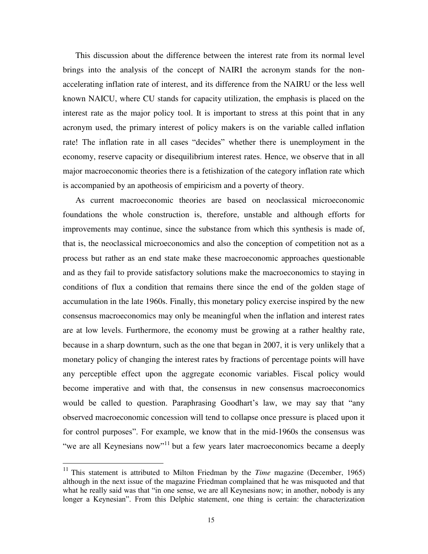This discussion about the difference between the interest rate from its normal level brings into the analysis of the concept of NAIRI the acronym stands for the nonaccelerating inflation rate of interest, and its difference from the NAIRU or the less well known NAICU, where CU stands for capacity utilization, the emphasis is placed on the interest rate as the major policy tool. It is important to stress at this point that in any acronym used, the primary interest of policy makers is on the variable called inflation rate! The inflation rate in all cases "decides" whether there is unemployment in the economy, reserve capacity or disequilibrium interest rates. Hence, we observe that in all major macroeconomic theories there is a fetishization of the category inflation rate which is accompanied by an apotheosis of empiricism and a poverty of theory.

As current macroeconomic theories are based on neoclassical microeconomic foundations the whole construction is, therefore, unstable and although efforts for improvements may continue, since the substance from which this synthesis is made of, that is, the neoclassical microeconomics and also the conception of competition not as a process but rather as an end state make these macroeconomic approaches questionable and as they fail to provide satisfactory solutions make the macroeconomics to staying in conditions of flux a condition that remains there since the end of the golden stage of accumulation in the late 1960s. Finally, this monetary policy exercise inspired by the new consensus macroeconomics may only be meaningful when the inflation and interest rates are at low levels. Furthermore, the economy must be growing at a rather healthy rate, because in a sharp downturn, such as the one that began in 2007, it is very unlikely that a monetary policy of changing the interest rates by fractions of percentage points will have any perceptible effect upon the aggregate economic variables. Fiscal policy would become imperative and with that, the consensus in new consensus macroeconomics would be called to question. Paraphrasing Goodhart's law, we may say that "any observed macroeconomic concession will tend to collapse once pressure is placed upon it for control purposes". For example, we know that in the mid-1960s the consensus was "we are all Keynesians now"<sup>11</sup> but a few years later macroeconomics became a deeply

 $\overline{\phantom{a}}$ 

<sup>&</sup>lt;sup>11</sup> This statement is attributed to Milton Friedman by the *Time* magazine (December, 1965) although in the next issue of the magazine Friedman complained that he was misquoted and that what he really said was that "in one sense, we are all Keynesians now; in another, nobody is any longer a Keynesian". From this Delphic statement, one thing is certain: the characterization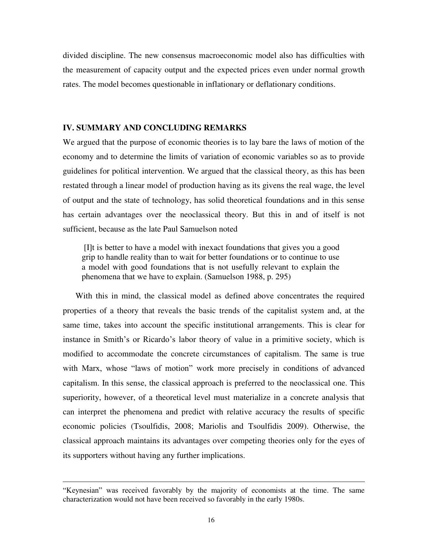divided discipline. The new consensus macroeconomic model also has difficulties with the measurement of capacity output and the expected prices even under normal growth rates. The model becomes questionable in inflationary or deflationary conditions.

#### **IV. SUMMARY AND CONCLUDING REMARKS**

We argued that the purpose of economic theories is to lay bare the laws of motion of the economy and to determine the limits of variation of economic variables so as to provide guidelines for political intervention. We argued that the classical theory, as this has been restated through a linear model of production having as its givens the real wage, the level of output and the state of technology, has solid theoretical foundations and in this sense has certain advantages over the neoclassical theory. But this in and of itself is not sufficient, because as the late Paul Samuelson noted

 [I]t is better to have a model with inexact foundations that gives you a good grip to handle reality than to wait for better foundations or to continue to use a model with good foundations that is not usefully relevant to explain the phenomena that we have to explain. (Samuelson 1988, p. 295)

With this in mind, the classical model as defined above concentrates the required properties of a theory that reveals the basic trends of the capitalist system and, at the same time, takes into account the specific institutional arrangements. This is clear for instance in Smith's or Ricardo's labor theory of value in a primitive society, which is modified to accommodate the concrete circumstances of capitalism. The same is true with Marx, whose "laws of motion" work more precisely in conditions of advanced capitalism. In this sense, the classical approach is preferred to the neoclassical one. This superiority, however, of a theoretical level must materialize in a concrete analysis that can interpret the phenomena and predict with relative accuracy the results of specific economic policies (Tsoulfidis, 2008; Mariolis and Tsoulfidis 2009). Otherwise, the classical approach maintains its advantages over competing theories only for the eyes of its supporters without having any further implications.

<sup>&</sup>quot;Keynesian" was received favorably by the majority of economists at the time. The same characterization would not have been received so favorably in the early 1980s.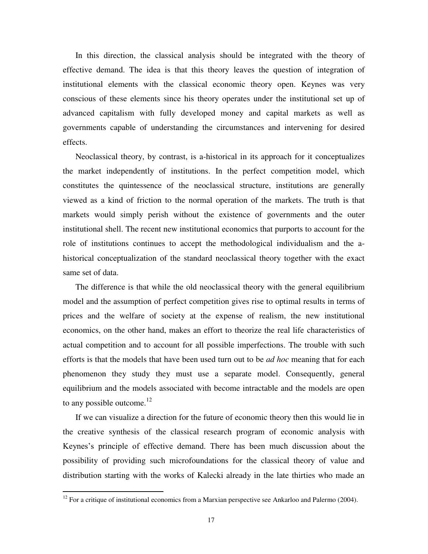In this direction, the classical analysis should be integrated with the theory of effective demand. The idea is that this theory leaves the question of integration of institutional elements with the classical economic theory open. Keynes was very conscious of these elements since his theory operates under the institutional set up of advanced capitalism with fully developed money and capital markets as well as governments capable of understanding the circumstances and intervening for desired effects.

Neoclassical theory, by contrast, is a-historical in its approach for it conceptualizes the market independently of institutions. In the perfect competition model, which constitutes the quintessence of the neoclassical structure, institutions are generally viewed as a kind of friction to the normal operation of the markets. The truth is that markets would simply perish without the existence of governments and the outer institutional shell. The recent new institutional economics that purports to account for the role of institutions continues to accept the methodological individualism and the ahistorical conceptualization of the standard neoclassical theory together with the exact same set of data.

The difference is that while the old neoclassical theory with the general equilibrium model and the assumption of perfect competition gives rise to optimal results in terms of prices and the welfare of society at the expense of realism, the new institutional economics, on the other hand, makes an effort to theorize the real life characteristics of actual competition and to account for all possible imperfections. The trouble with such efforts is that the models that have been used turn out to be *ad hoc* meaning that for each phenomenon they study they must use a separate model. Consequently, general equilibrium and the models associated with become intractable and the models are open to any possible outcome. $^{12}$ 

If we can visualize a direction for the future of economic theory then this would lie in the creative synthesis of the classical research program of economic analysis with Keynes's principle of effective demand. There has been much discussion about the possibility of providing such microfoundations for the classical theory of value and distribution starting with the works of Kalecki already in the late thirties who made an

 $12$  For a critique of institutional economics from a Marxian perspective see Ankarloo and Palermo (2004).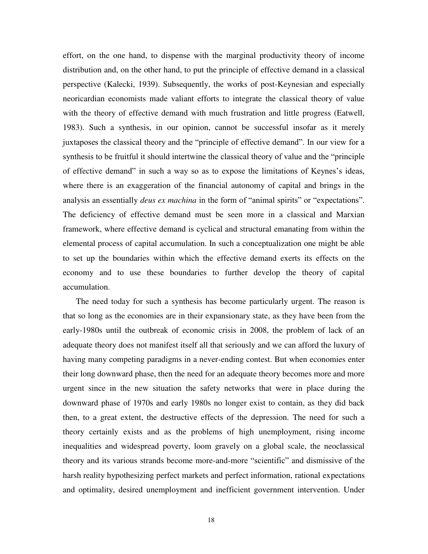effort, on the one hand, to dispense with the marginal productivity theory of income distribution and, on the other hand, to put the principle of effective demand in a classical perspective (Kalecki, 1939). Subsequently, the works of post-Keynesian and especially neoricardian economists made valiant efforts to integrate the classical theory of value with the theory of effective demand with much frustration and little progress (Eatwell, 1983). Such a synthesis, in our opinion, cannot be successful insofar as it merely juxtaposes the classical theory and the "principle of effective demand". In our view for a synthesis to be fruitful it should intertwine the classical theory of value and the "principle of effective demand" in such a way so as to expose the limitations of Keynes's ideas, where there is an exaggeration of the financial autonomy of capital and brings in the analysis an essentially *deus ex machina* in the form of "animal spirits" or "expectations". The deficiency of effective demand must be seen more in a classical and Marxian framework, where effective demand is cyclical and structural emanating from within the elemental process of capital accumulation. In such a conceptualization one might be able to set up the boundaries within which the effective demand exerts its effects on the economy and to use these boundaries to further develop the theory of capital accumulation.

The need today for such a synthesis has become particularly urgent. The reason is that so long as the economies are in their expansionary state, as they have been from the early-1980s until the outbreak of economic crisis in 2008, the problem of lack of an adequate theory does not manifest itself all that seriously and we can afford the luxury of having many competing paradigms in a never-ending contest. But when economies enter their long downward phase, then the need for an adequate theory becomes more and more urgent since in the new situation the safety networks that were in place during the downward phase of 1970s and early 1980s no longer exist to contain, as they did back then, to a great extent, the destructive effects of the depression. The need for such a theory certainly exists and as the problems of high unemployment, rising income inequalities and widespread poverty, loom gravely on a global scale, the neoclassical theory and its various strands become more-and-more "scientific" and dismissive of the harsh reality hypothesizing perfect markets and perfect information, rational expectations and optimality, desired unemployment and inefficient government intervention. Under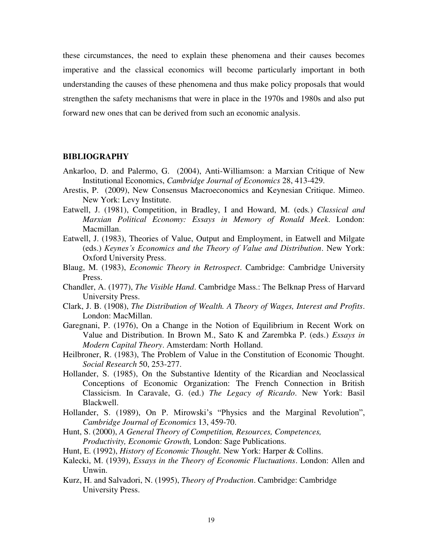these circumstances, the need to explain these phenomena and their causes becomes imperative and the classical economics will become particularly important in both understanding the causes of these phenomena and thus make policy proposals that would strengthen the safety mechanisms that were in place in the 1970s and 1980s and also put forward new ones that can be derived from such an economic analysis.

#### **BIBLIOGRAPHY**

- Ankarloo, D. and Palermo, G. (2004), Anti-Williamson: a Marxian Critique of New Institutional Economics, *Cambridge Journal of Economics* 28, 413-429.
- Arestis, P. (2009), New Consensus Macroeconomics and Keynesian Critique. Mimeo. New York: Levy Institute.
- Εatwell, J. (1981), Competition, in Bradley, I and Howard, M. (eds*.*) *Classical and Marxian Political Economy: Essays in Memory of Ronald Meek*. London: Macmillan.
- Εatwell, J. (1983), Theories of Value, Output and Employment, in Eatwell and Milgate (eds.) *Keynes's Economics and the Theory of Value and Distribution*. New York: Oxford University Press.
- Blaug, M. (1983), *Economic Theory in Retrospect*. Cambridge: Cambridge University Press.
- Chandler, A. (1977), *The Visible Hand*. Cambridge Mass.: The Belknap Press of Harvard University Press.
- Clark, J. B. (1908), *The Distribution of Wealth. A Theory of Wages, Interest and Profits*. London: MacMillan.
- Garegnani, P. (1976), On a Change in the Notion of Equilibrium in Recent Work on Value and Distribution. In Brown M., Sato K and Zarembka P. (eds.) *Essays in Modern Capital Theory*. Amsterdam: North Holland.
- Heilbroner, R. (1983), The Problem of Value in the Constitution of Economic Thought. *Social Research* 50, 253-277.
- Hollander, S. (1985), On the Substantive Identity of the Ricardian and Neoclassical Conceptions of Economic Organization: The French Connection in British Classicism. In Caravale, G. (ed.) *The Legacy of Ricardo*. New York: Basil Blackwell.
- Hollander, S. (1989), On P. Mirowski's "Physics and the Marginal Revolution", *Cambridge Journal of Economics* 13, 459-70.
- Hunt, S. (2000), *A General Theory of Competition, Resources, Competences, Productivity, Economic Growth,* London: Sage Publications.
- Hunt, E. (1992), *History of Economic Thought.* New York: Harper & Collins.
- Kalecki, M. (1939), *Essays in the Theory of Economic Fluctuations*. London: Allen and Unwin.
- Kurz, H. and Salvadori, N. (1995), *Theory of Production*. Cambridge: Cambridge University Press.